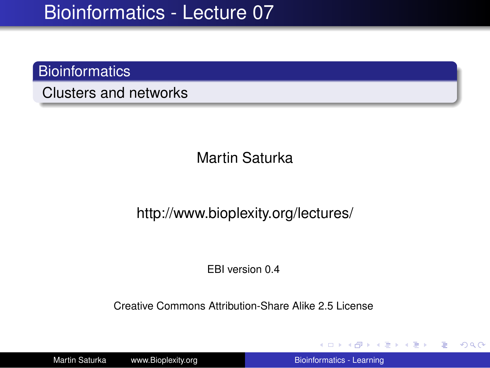#### **Bioinformatics**

Clusters and networks

Martin Saturka

#### http://www.bioplexity.org/lectures/

EBI version 0.4

Creative Commons Attribution-Share Alike 2.5 License

Martin Saturka www.Bioplexity.org **Bionic Biomatics - Learning** [Bioinformatics - Learning](#page-31-0)

**K ロ ▶ K 何 ▶ K ヨ ▶ K ヨ ▶** 

<span id="page-0-0"></span>重し  $2Q$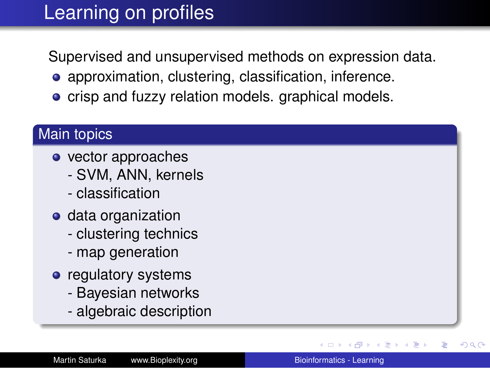# Learning on profiles

Supervised and unsupervised methods on expression data.

- approximation, clustering, classification, inference.
- crisp and fuzzy relation models. graphical models.

#### Main topics

- vector approaches
	- SVM, ANN, kernels
	- classification
- **o** data organization
	- clustering technics
	- map generation
- regulatory systems
	- Bayesian networks
	- algebraic description

 $\rightarrow$   $\Rightarrow$   $\rightarrow$ 

 $2Q$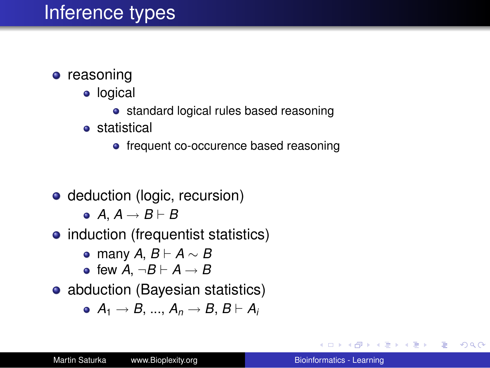### Inference types

- **•** reasoning
	- logical
		- **•** standard logical rules based reasoning
	- **•** statistical
		- frequent co-occurence based reasoning
- deduction (logic, recursion)
	- $\bullet$  *A*, *A*  $\rightarrow$  *B*  $\vdash$  *B*
- induction (frequentist statistics)
	- many *A*, *B* ` *A* ∼ *B*
	- few  $A \neg B \vdash A \rightarrow B$
- abduction (Bayesian statistics)

$$
\bullet \ \ A_1 \rightarrow B, \, ..., \, A_n \rightarrow B, \, B \vdash A_i
$$

**≮ロ ▶ ⊀ 御 ▶ ⊀ ヨ ▶ ⊀ ヨ ▶** 

÷.  $QQ$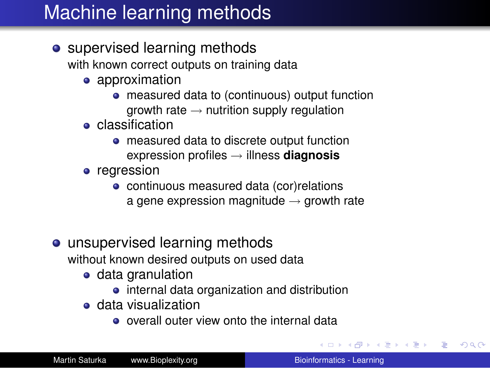# Machine learning methods

• supervised learning methods

with known correct outputs on training data

- approximation
	- measured data to (continuous) output function growth rate  $\rightarrow$  nutrition supply regulation
- **•** classification
	- measured data to discrete output function expression profiles → illness **diagnosis**
- **•** regression
	- continuous measured data (cor)relations a gene expression magnitude  $\rightarrow$  growth rate
- unsupervised learning methods

without known desired outputs on used data

- data granulation
	- internal data organization and distribution
- data visualization
	- o overall outer view onto the internal data

**K ロ ▶ K 何 ▶ K ヨ ▶ K ヨ ▶** 

÷.

 $2Q$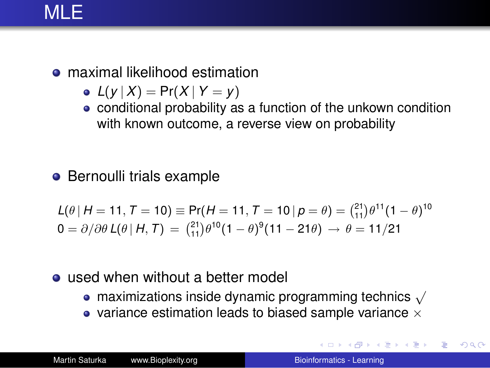### MLE.

- maximal likelihood estimation
	- $L(y | X) = Pr(X | Y = y)$
	- conditional probability as a function of the unkown condition with known outcome, a reverse view on probability
- **•** Bernoulli trials example

$$
L(\theta | H = 11, T = 10) \equiv Pr(H = 11, T = 10 | p = \theta) = {21 \choose 11} \theta^{11} (1 - \theta)^{10}
$$
  
0 =  $\partial/\partial \theta$   $L(\theta | H, T) = {21 \choose 11} \theta^{10} (1 - \theta)^9 (11 - 21\theta) \rightarrow \theta = 11/21$ 

#### • used when without a better model

- maximizations inside dynamic programming technics  $\sqrt{ }$
- variance estimation leads to biased sample variance  $\times$

イロト イ団ト イヨト イヨト

B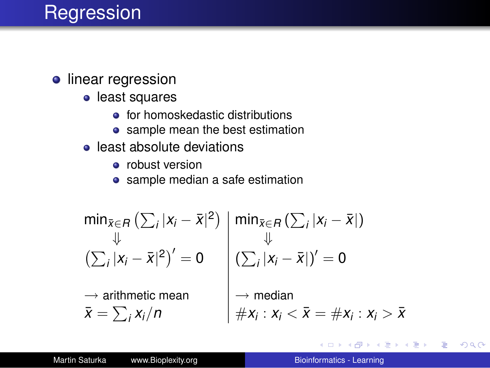### **Regression**

#### **·** linear regression

- **•** least squares
	- for homoskedastic distributions
	- sample mean the best estimation
- **•** least absolute deviations
	- **•** robust version
	- sample median a safe estimation

$$
\min_{\bar{x} \in R} (\sum_{i} |x_{i} - \bar{x}|^{2})
$$
\n
$$
\downarrow \qquad \qquad \downarrow \qquad \qquad \downarrow \qquad \qquad \downarrow \qquad \qquad \downarrow \qquad \downarrow
$$
\n
$$
(\sum_{i} |x_{i} - \bar{x}|^{2})' = 0
$$
\n
$$
\rightarrow \text{arithmetic mean}
$$
\n
$$
\bar{x} = \sum_{i} x_{i}/n
$$
\n
$$
\downarrow \qquad \qquad \downarrow \qquad \downarrow
$$
\n
$$
\downarrow \qquad \downarrow \qquad \downarrow
$$
\n
$$
\downarrow \qquad \downarrow \qquad \downarrow
$$
\n
$$
\downarrow \qquad \downarrow \qquad \downarrow
$$
\n
$$
\downarrow \qquad \downarrow \qquad \downarrow
$$
\n
$$
\downarrow \qquad \downarrow \qquad \downarrow
$$
\n
$$
\downarrow \qquad \downarrow
$$
\n
$$
\downarrow \qquad \downarrow
$$
\n
$$
\downarrow \qquad \downarrow
$$
\n
$$
\downarrow
$$
\n
$$
\downarrow
$$
\n
$$
\downarrow
$$
\n
$$
\downarrow
$$
\n
$$
\downarrow
$$
\n
$$
\downarrow
$$
\n
$$
\downarrow
$$
\n
$$
\downarrow
$$
\n
$$
\downarrow
$$
\n
$$
\downarrow
$$
\n
$$
\downarrow
$$
\n
$$
\downarrow
$$
\n
$$
\downarrow
$$
\n
$$
\downarrow
$$
\n
$$
\downarrow
$$
\n
$$
\downarrow
$$
\n
$$
\downarrow
$$
\n
$$
\downarrow
$$
\n
$$
\downarrow
$$
\n
$$
\downarrow
$$
\n
$$
\downarrow
$$
\n
$$
\downarrow
$$
\n
$$
\downarrow
$$
\n
$$
\downarrow
$$
\n
$$
\downarrow
$$
\n
$$
\downarrow
$$
\n
$$
\downarrow
$$
\n
$$
\downarrow
$$
\n
$$
\downarrow
$$
\n
$$
\downarrow
$$
\n
$$
\downarrow
$$
\n
$$
\downarrow
$$
\n
$$
\downarrow
$$
\n $$ 

4日下

 $\left\{ \bigoplus_k k \right\} \in \mathbb{R}$  is a defined of

÷.

 $2990$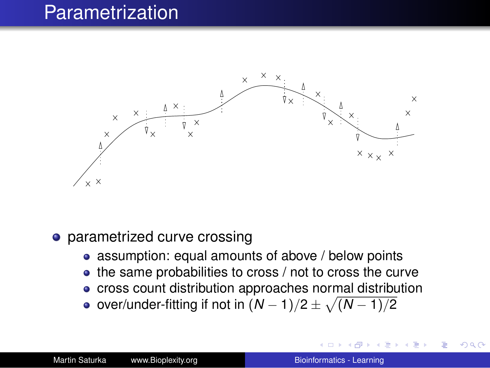### Parametrization



- parametrized curve crossing
	- assumption: equal amounts of above / below points
	- the same probabilities to cross / not to cross the curve
	- cross count distribution approaches normal distribution
	- over/under-fitting if not in  $(N-1)/2 \pm \sqrt{(N-1)/2}$

 $290$ 

ă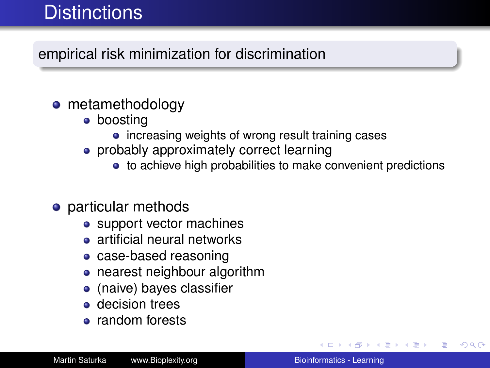# **Distinctions**

#### empirical risk minimization for discrimination

#### • metamethodology

- boosting
	- increasing weights of wrong result training cases
- probably approximately correct learning
	- to achieve high probabilities to make convenient predictions

#### • particular methods

- support vector machines
- **•** artificial neural networks
- case-based reasoning
- nearest neighbour algorithm
- (naive) bayes classifier
- **o** decision trees
- random forests

K 何 ▶ K ヨ ▶ K ヨ ▶ ...

 $2990$ 

B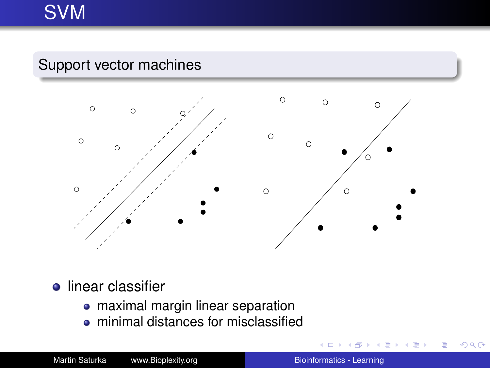# SVM

#### Support vector machines



#### **·** linear classifier

- maximal margin linear separation
- minimal distances for misclassified

 $\equiv$   $\rightarrow$ ÷.  $2990$ 

×.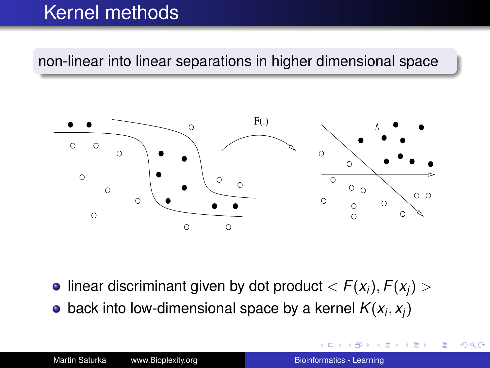# Kernel methods

non-linear into linear separations in higher dimensional space



- $\bullet$  linear discriminant given by dot product  $\lt F(x_i), F(x_i) > \bullet$
- back into low-dimensional space by a kernel  $\mathcal{K}(x_i, x_j)$

 $2Q$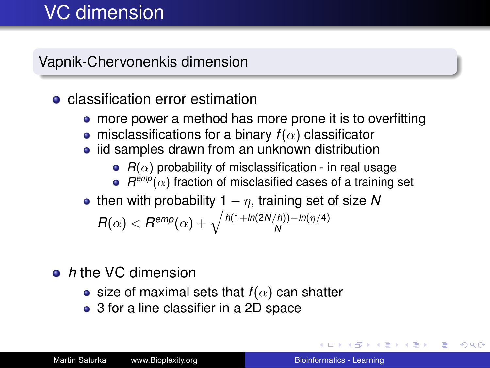# VC dimension

Vapnik-Chervonenkis dimension

**•** classification error estimation

- more power a method has more prone it is to overfitting
- **•** misclassifications for a binary  $f(\alpha)$  classificator
- iid samples drawn from an unknown distribution
	- $R(\alpha)$  probability of misclassification in real usage
	- $R^{\textit{emp}}(\alpha)$  fraction of misclasified cases of a training set
- then with probability  $1 n$ , training set of size N

$$
R(\alpha) < R^{emp}(\alpha) + \sqrt{\frac{h(1 + ln(2N/h)) - ln(\eta/4)}{N}}
$$

- *h* the VC dimension
	- size of maximal sets that  $f(\alpha)$  can shatter
	- 3 for a line classifier in a 2D space

**K ロ ト K 何 ト K ヨ ト** 

B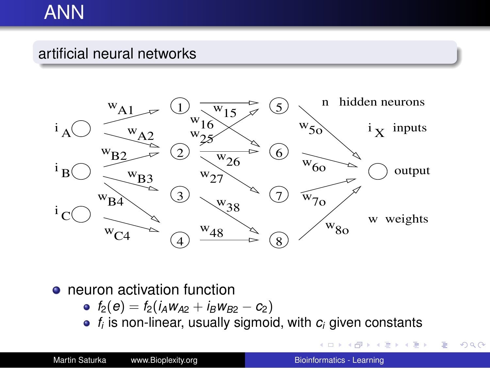### ANN

#### artificial neural networks



#### • neuron activation function

- $\bullet$  *f*<sub>2</sub>(*e*) = *f*<sub>2</sub>(*i<sub>A</sub>W<sub>A2</sub> + <i>i<sub>B</sub>W<sub>B2</sub>* − *c*<sub>2</sub>)
- *fi* is non-linear, usually sigmoid, with *c<sup>i</sup>* given constants

 $\mathbb{R}^n \times \mathbb{R}^n \to \mathbb{R}^n$ 

÷.

 $290$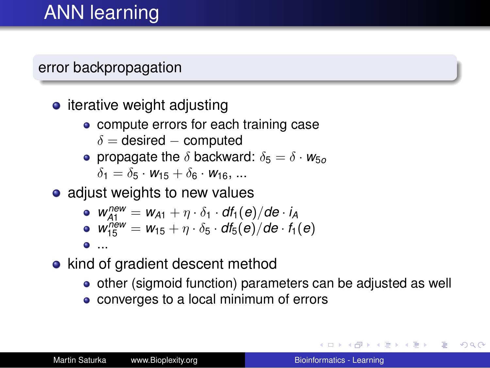# ANN learning

#### error backpropagation

- $\bullet$  iterative weight adjusting
	- **•** compute errors for each training case
		- $\delta$  = desired computed
	- **•** propagate the  $\delta$  backward:  $\delta_5 = \delta \cdot w_{50}$  $\delta_1 = \delta_5 \cdot W_{15} + \delta_6 \cdot W_{16}$ , ...
- adjust weights to new values

• 
$$
w_{A1}^{new} = w_{A1} + \eta \cdot \delta_1 \cdot df_1(e)/de \cdot i_A
$$

$$
\bullet \ \ W_{15}^{new} = W_{15} + \eta \cdot \delta_5 \cdot df_5(e)/de \cdot f_1(e)
$$

- ...
- kind of gradient descent method
	- other (sigmoid function) parameters can be adjusted as well
	- converges to a local minimum of errors

**K ロ ▶ K 伊 ▶ K ヨ ▶** 

④重き B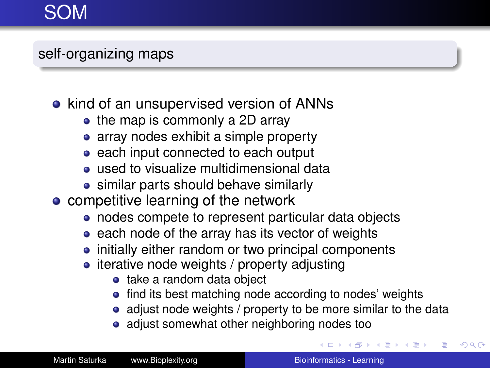## SOM

### self-organizing maps

- kind of an unsupervised version of ANNs
	- the map is commonly a 2D array
	- array nodes exhibit a simple property
	- each input connected to each output
	- **•** used to visualize multidimensional data
	- similar parts should behave similarly
- competitive learning of the network
	- nodes compete to represent particular data objects
	- $\bullet$  each node of the array has its vector of weights
	- initially either random or two principal components
	- iterative node weights / property adjusting
		- take a random data object
		- find its best matching node according to nodes' weights
		- adjust node weights / property to be more similar to the data
		- adjust somewhat other neighboring nodes too

 $\Box \rightarrow \neg \left( \Box \overline{\partial} \rightarrow \neg \left( \Box \overline{\psi} \rightarrow \neg \left( \Box \overline{\psi} \right) \right) \right)$ 

 $2990$ ÷.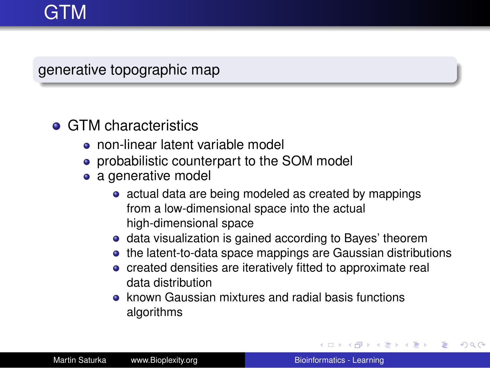# GTM

generative topographic map

#### **• GTM characteristics**

- non-linear latent variable model
- probabilistic counterpart to the SOM model
- a generative model
	- actual data are being modeled as created by mappings from a low-dimensional space into the actual high-dimensional space
	- data visualization is gained according to Bayes' theorem
	- the latent-to-data space mappings are Gaussian distributions
	- created densities are iteratively fitted to approximate real data distribution
	- known Gaussian mixtures and radial basis functions algorithms

イロメ イ伊 メイヨメイヨメー

B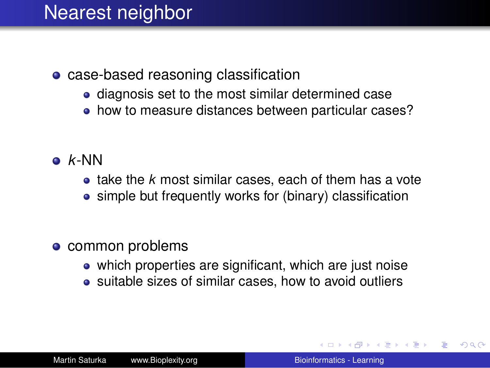### Nearest neighbor

- case-based reasoning classification
	- diagnosis set to the most similar determined case
	- how to measure distances between particular cases?
- *k*-NN
	- take the *k* most similar cases, each of them has a vote
	- simple but frequently works for (binary) classification
- common problems
	- which properties are significant, which are just noise
	- suitable sizes of similar cases, how to avoid outliers

 $290$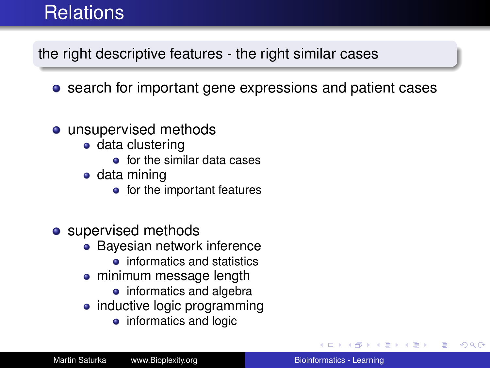# **Relations**

the right descriptive features - the right similar cases

- **•** search for important gene expressions and patient cases
- unsupervised methods
	- **o** data clustering
		- **o** for the similar data cases
	- data mining
		- for the important features
- supervised methods
	- Bayesian network inference
		- $\bullet$  informatics and statistics
	- minimum message length
		- informatics and algebra
	- inductive logic programming
		- informatics and logic

す重きし

÷.  $QQ$ 

→ 重き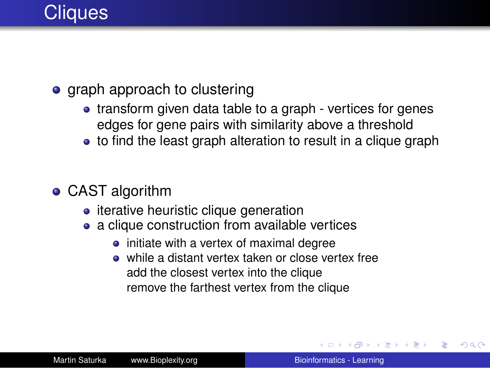

#### • graph approach to clustering

- transform given data table to a graph vertices for genes edges for gene pairs with similarity above a threshold
- to find the least graph alteration to result in a clique graph
- CAST algorithm
	- iterative heuristic clique generation
	- a clique construction from available vertices
		- initiate with a vertex of maximal degree
		- while a distant vertex taken or close vertex free add the closest vertex into the clique remove the farthest vertex from the clique

(ロ) (伊) (三)

4 重っ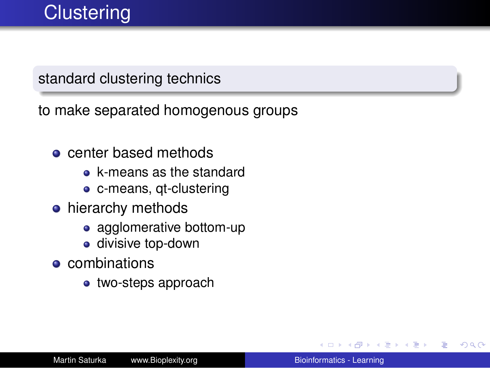#### standard clustering technics

to make separated homogenous groups

- **o** center based methods
	- **e** k-means as the standard
	- c-means, qt-clustering
- **•** hierarchy methods
	- agglomerative bottom-up
	- **·** divisive top-down
- **e** combinations
	- two-steps approach

④重き B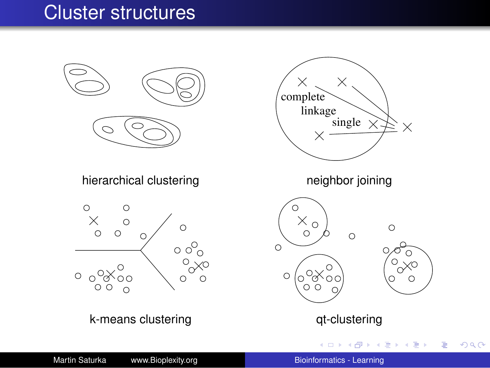### Cluster structures



Martin Saturka www.Bioplexity.org [Bioinformatics - Learning](#page-0-0)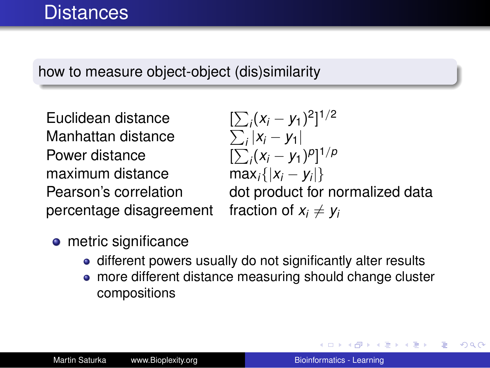#### how to measure object-object (dis)similarity

Euclidean distance [ Manhattan distance Power distance [ maximum distance max*i*{|*x<sup>i</sup>* − *y<sup>i</sup>* percentage disagreement fraction of  $x_i \neq y_i$ 

 $\sum_i (x_i - y_1)^2$ <sup>1/2</sup> *i* |*x<sup>i</sup>* − *y*1|  $\sum_i (x_i - y_1)^p$ <sup>1/*p*</sup>  $max_i\{|x_i - y_i|\}$ 

dot product for normalized data

- **o** metric significance
	- different powers usually do not significantly alter results
	- more different distance measuring should change cluster compositions

イロメ イ押メ イヨメ イヨメー

ă.  $QQ$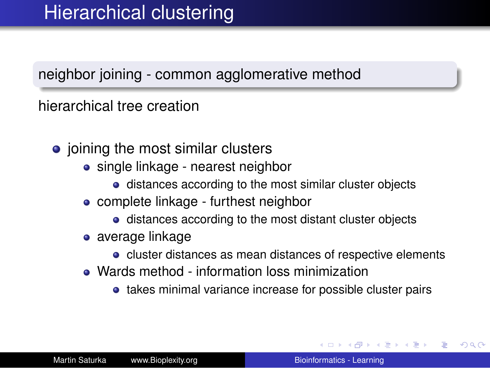#### neighbor joining - common agglomerative method

hierarchical tree creation

- $\bullet$  joining the most similar clusters
	- single linkage nearest neighbor
		- **•** distances according to the most similar cluster objects
	- complete linkage furthest neighbor
		- distances according to the most distant cluster objects
	- average linkage
		- cluster distances as mean distances of respective elements
	- Wards method information loss minimization
		- takes minimal variance increase for possible cluster pairs

イロト イ団ト イヨト イヨト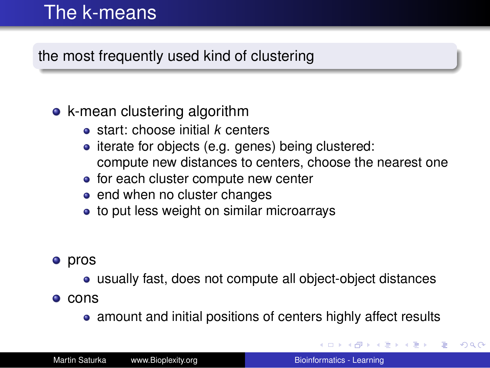## The k-means

#### the most frequently used kind of clustering

#### • k-mean clustering algorithm

- start: choose initial *k* centers
- iterate for objects (e.g. genes) being clustered: compute new distances to centers, choose the nearest one
- for each cluster compute new center
- end when no cluster changes
- to put less weight on similar microarrays

#### **•** pros

usually fast, does not compute all object-object distances

 $\bullet$  cons

• amount and initial positions of centers highly affect results

イロト イ団ト イヨト イヨト

 $2Q$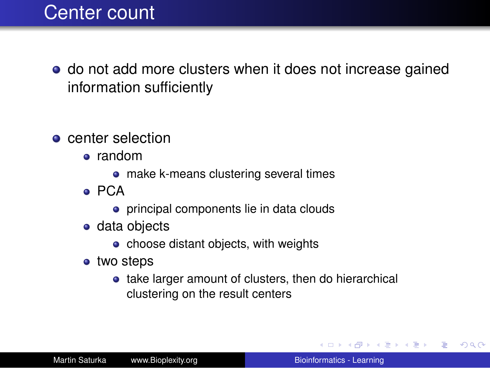### Center count

- do not add more clusters when it does not increase gained information sufficiently
- **o** center selection
	- random
		- make k-means clustering several times
	- PCA
		- **•** principal components lie in data clouds
	- data objects
		- $\bullet$  choose distant objects, with weights
	- two steps
		- take larger amount of clusters, then do hierarchical clustering on the result centers

イロト イ伊 トイヨ トイヨ トー

(重)  $QQ$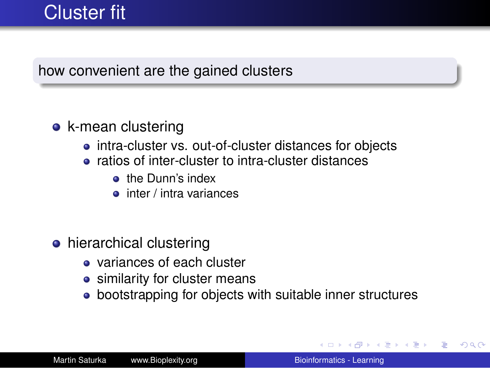### Cluster fit

#### how convenient are the gained clusters

#### • k-mean clustering

- intra-cluster vs. out-of-cluster distances for objects
- ratios of inter-cluster to intra-cluster distances
	- **a** the Dunn's index
	- $\bullet$  inter / intra variances
- hierarchical clustering
	- **o** variances of each cluster
	- **•** similarity for cluster means
	- bootstrapping for objects with suitable inner structures

**K ロ ⊁ K 伊 ⊁ K ミ** 

4 重っ

B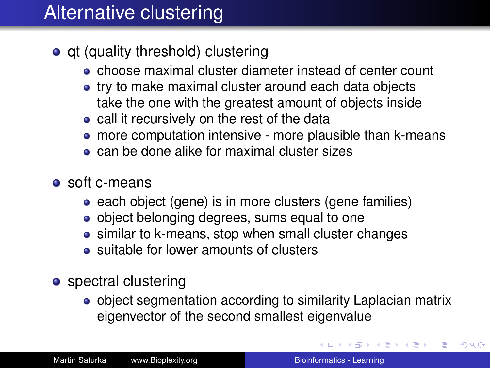# Alternative clustering

- qt (quality threshold) clustering
	- choose maximal cluster diameter instead of center count
	- try to make maximal cluster around each data objects take the one with the greatest amount of objects inside
	- call it recursively on the rest of the data
	- more computation intensive more plausible than k-means
	- **can be done alike for maximal cluster sizes**
- soft c-means
	- each object (gene) is in more clusters (gene families)
	- object belonging degrees, sums equal to one
	- similar to k-means, stop when small cluster changes
	- suitable for lower amounts of clusters
- spectral clustering
	- object segmentation according to similarity Laplacian matrix eigenvector of the second smallest eigenvalue

イロト イ団ト イヨト イヨト

B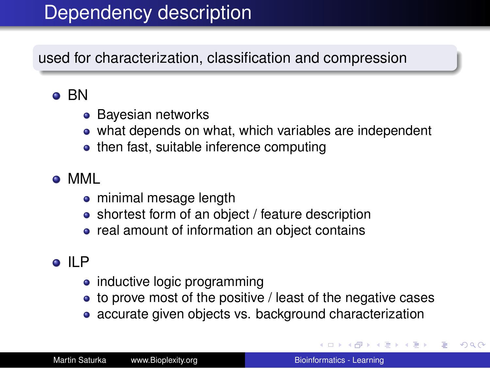## Dependency description

used for characterization, classification and compression

### **o** BN

- **Bayesian networks**
- what depends on what, which variables are independent
- then fast, suitable inference computing

### MML

- minimal mesage length
- shortest form of an object / feature description
- real amount of information an object contains

### o ILP

- inductive logic programming
- to prove most of the positive / least of the negative cases
- accurate given objects vs. background characterization

イロメ イ伊 メイヨメイヨメー

 $2Q$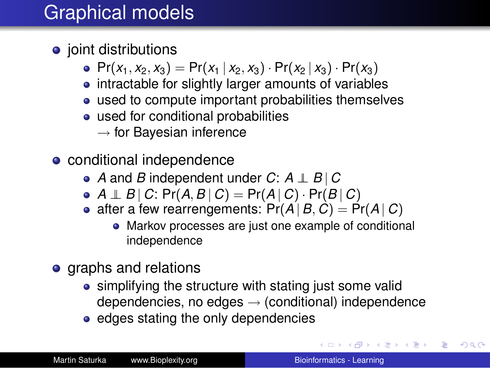# Graphical models

- joint distributions
	- $Pr(x_1, x_2, x_3) = Pr(x_1 | x_2, x_3) \cdot Pr(x_2 | x_3) \cdot Pr(x_3)$
	- intractable for slightly larger amounts of variables
	- used to compute important probabilities themselves
	- used for conditional probabilities
		- $\rightarrow$  for Bayesian inference
- conditional independence
	- *A* and *B* independent under *C*: *A* ⊥⊥ *B* | *C*
	- $\bullet$  *A*  $\perp$  *B* | *C*: Pr(*A*, *B* | *C*) = Pr(*A* | *C*) · Pr(*B* | *C*)
	- after a few rearrengements:  $Pr(A|B, C) = Pr(A|C)$ 
		- Markov processes are just one example of conditional independence
- graphs and relations
	- simplifying the structure with stating just some valid dependencies, no edges  $\rightarrow$  (conditional) independence
	- edges stating the only dependencies

**K ロ ▶ K 何 ▶ K ヨ ▶ K ヨ ▶** 

÷.  $QQ$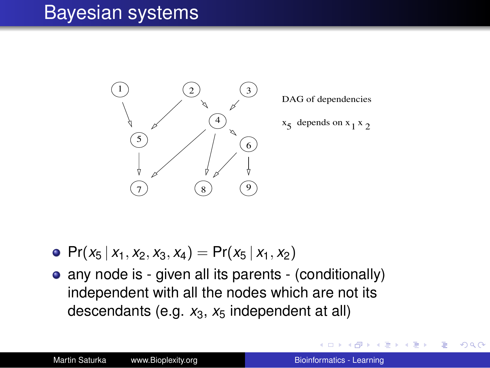### Bayesian systems



DAG of dependencies

 $x_5$  depends on  $x_1 x_2$ 

- Pr( $x_5 | x_1, x_2, x_3, x_4$ ) = Pr( $x_5 | x_1, x_2$ )
- any node is given all its parents (conditionally) independent with all the nodes which are not its descendants (e.g.  $x_3$ ,  $x_5$  independent at all)

4 重っ

 $2Q$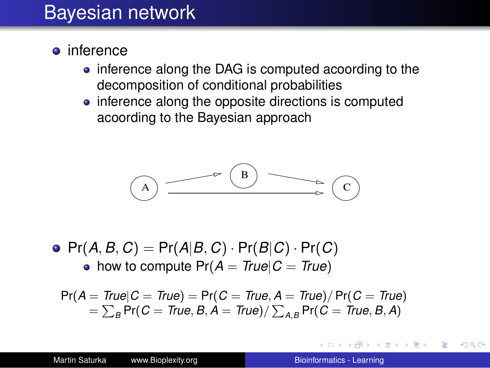### Bayesian network

- **o** inference
	- inference along the DAG is computed acoording to the decomposition of conditional probabilities
	- inference along the opposite directions is computed acoording to the Bayesian approach



 $\bullet$  Pr(*A*, *B*, *C*) = Pr(*A*|*B*, *C*) · Pr(*B*|*C*) · Pr(*C*) • how to compute  $Pr(A = True | C = True)$ 

$$
Pr(A = True | C = True) = Pr(C = True, A = True) / Pr(C = True)
$$
  
=  $\sum_{B} Pr(C = True, B, A = True) / \sum_{A,B} Pr(C = True, B, A)$ 

∢ ロ ▶ . ∢ 何 ▶ . ∢ ヨ ▶.

す重き。 B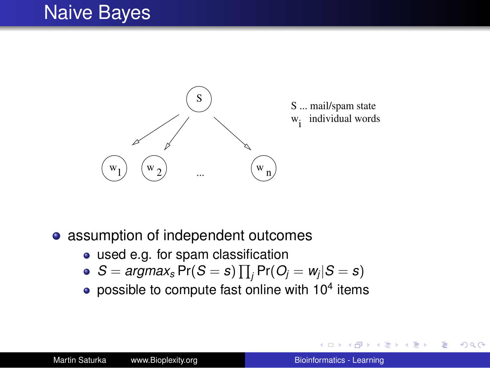### Naive Bayes



- assumption of independent outcomes
	- used e.g. for spam classification
	- $S = \textit{argmax}_s \Pr(S = s) \prod_j \Pr(O_j = w_j | S = s)$
	- possible to compute fast online with  $10^4$  items

④ → ④ → →

す画→ B